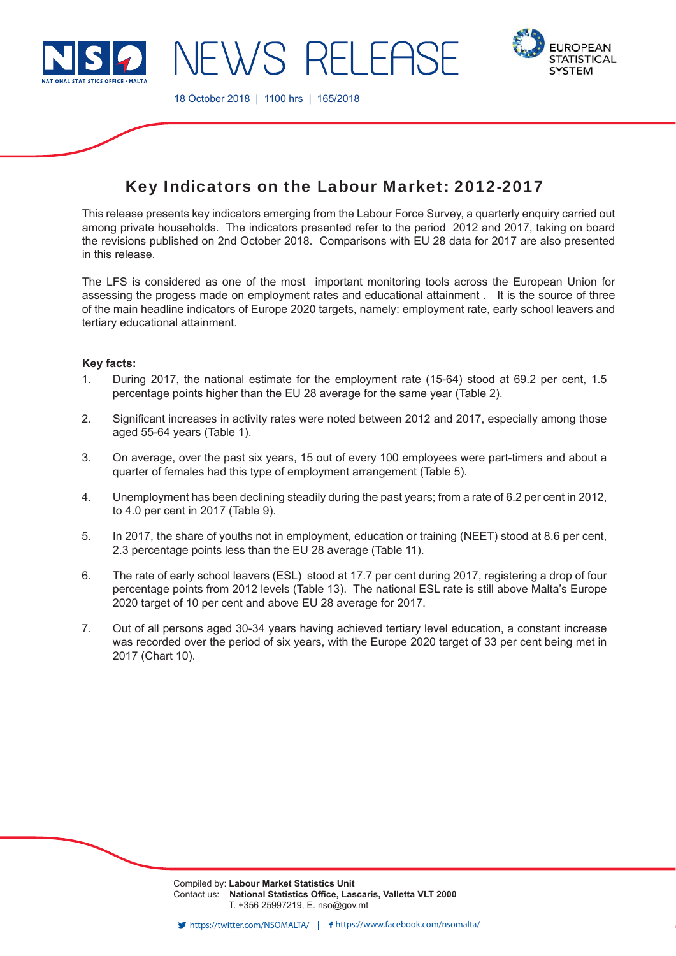

**EWS RELEAS** 



18 October 2018 | 1100 hrs | 165/2018

# Key Indicators on the Labour Market: 2012-2017

This release presents key indicators emerging from the Labour Force Survey, a quarterly enquiry carried out among private households. The indicators presented refer to the period 2012 and 2017, taking on board the revisions published on 2nd October 2018. Comparisons with EU 28 data for 2017 are also presented in this release.

The LFS is considered as one of the most important monitoring tools across the European Union for assessing the progess made on employment rates and educational attainment . It is the source of three of the main headline indicators of Europe 2020 targets, namely: employment rate, early school leavers and tertiary educational attainment.

## **Key facts:**

- 1. During 2017, the national estimate for the employment rate (15-64) stood at 69.2 per cent, 1.5 percentage points higher than the EU 28 average for the same year (Table 2).
- 2. Significant increases in activity rates were noted between 2012 and 2017, especially among those aged 55-64 years (Table 1).
- 3. On average, over the past six years, 15 out of every 100 employees were part-timers and about a quarter of females had this type of employment arrangement (Table 5).
- 4. Unemployment has been declining steadily during the past years; from a rate of 6.2 per cent in 2012, to 4.0 per cent in 2017 (Table 9).
- 5. In 2017, the share of youths not in employment, education or training (NEET) stood at 8.6 per cent, 2.3 percentage points less than the EU 28 average (Table 11).
- 6. The rate of early school leavers (ESL) stood at 17.7 per cent during 2017, registering a drop of four percentage points from 2012 levels (Table 13). The national ESL rate is still above Malta's Europe 2020 target of 10 per cent and above EU 28 average for 2017.
- 7. Out of all persons aged 30-34 years having achieved tertiary level education, a constant increase was recorded over the period of six years, with the Europe 2020 target of 33 per cent being met in 2017 (Chart 10).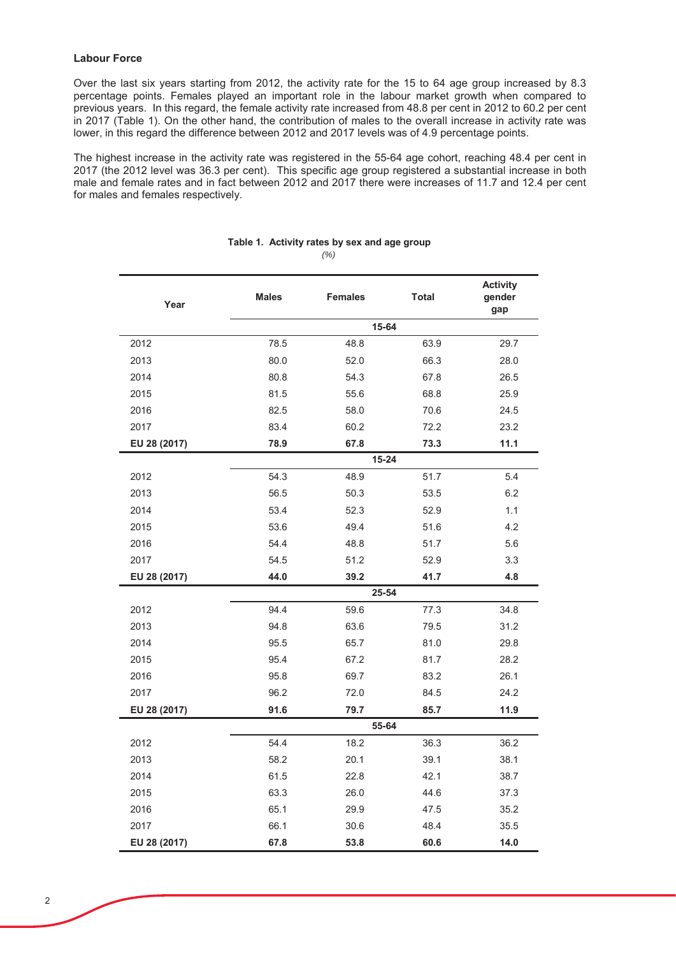## **Labour Force**

Over the last six vears starting from 2012, the activity rate for the 15 to 64 age group increased by 8.3 percentage points. Females played an important role in the labour market growth when compared to  $\overline{\phantom{a}}$  previous vears. In this regard, the female activity rate increased from 48.8 per cent in 2012 to 60.2 per cent in 2017 (Table 1). On the other hand, the contribution of males to the overall increase in activity rate was lower, in this regard the difference between 2012 and 2017 levels was of 4.9 percentage points.

The highest increase in the activity rate was registered in the 55-64 age cohort, reaching 48.4 per cent in 2017 (the 2012 level was 36.3 per cent). This specific age group registered a substantial increase in both male and female rates and in fact between 2012 and 2017 there were increases of 11.7 and 12.4 per cent for males and females respectively.

| Year         | <b>Males</b> | <b>Females</b> | <b>Total</b> | <b>Activity</b><br>gender<br>gap |  |  |
|--------------|--------------|----------------|--------------|----------------------------------|--|--|
|              | 15-64        |                |              |                                  |  |  |
| 2012         | 78.5         | 48.8           | 63.9         | 29.7                             |  |  |
| 2013         | 80.0         | 52.0           | 66.3         | 28.0                             |  |  |
| 2014         | 80.8         | 54.3           | 67.8         | 26.5                             |  |  |
| 2015         | 81.5         | 55.6           | 68.8         | 25.9                             |  |  |
| 2016         | 82.5         | 58.0           | 70.6         | 24.5                             |  |  |
| 2017         | 83.4         | 60.2           | 72.2         | 23.2                             |  |  |
| EU 28 (2017) | 78.9         | 67.8           | 73.3         | 11.1                             |  |  |
|              |              | 15-24          |              |                                  |  |  |
| 2012         | 54.3         | 48.9           | 51.7         | 5.4                              |  |  |
| 2013         | 56.5         | 50.3           | 53.5         | 6.2                              |  |  |
| 2014         | 53.4         | 52.3           | 52.9         | 1.1                              |  |  |
| 2015         | 53.6         | 49.4           | 51.6         | 4.2                              |  |  |
| 2016         | 54.4         | 48.8           | 51.7         | 5.6                              |  |  |
| 2017         | 54.5         | 51.2           | 52.9         | 3.3                              |  |  |
| EU 28 (2017) | 44.0         | 39.2           | 41.7         | 4.8                              |  |  |
|              |              | 25-54          |              |                                  |  |  |
| 2012         | 94.4         | 59.6           | 77.3         | 34.8                             |  |  |
| 2013         | 94.8         | 63.6           | 79.5         | 31.2                             |  |  |
| 2014         | 95.5         | 65.7           | 81.0         | 29.8                             |  |  |
| 2015         | 95.4         | 67.2           | 81.7         | 28.2                             |  |  |
| 2016         | 95.8         | 69.7           | 83.2         | 26.1                             |  |  |
| 2017         | 96.2         | 72.0           | 84.5         | 24.2                             |  |  |
| EU 28 (2017) | 91.6         | 79.7           | 85.7         | 11.9                             |  |  |
|              |              | 55-64          |              |                                  |  |  |
| 2012         | 54.4         | 18.2           | 36.3         | 36.2                             |  |  |
| 2013         | 58.2         | 20.1           | 39.1         | 38.1                             |  |  |
| 2014         | 61.5         | 22.8           | 42.1         | 38.7                             |  |  |
| 2015         | 63.3         | 26.0           | 44.6         | 37.3                             |  |  |
| 2016         | 65.1         | 29.9           | 47.5         | 35.2                             |  |  |
| 2017         | 66.1         | 30.6           | 48.4         | 35.5                             |  |  |
| EU 28 (2017) | 67.8         | 53.8           | 60.6         | 14.0                             |  |  |

#### *(%)* Table 1. Activity rates by sex and age group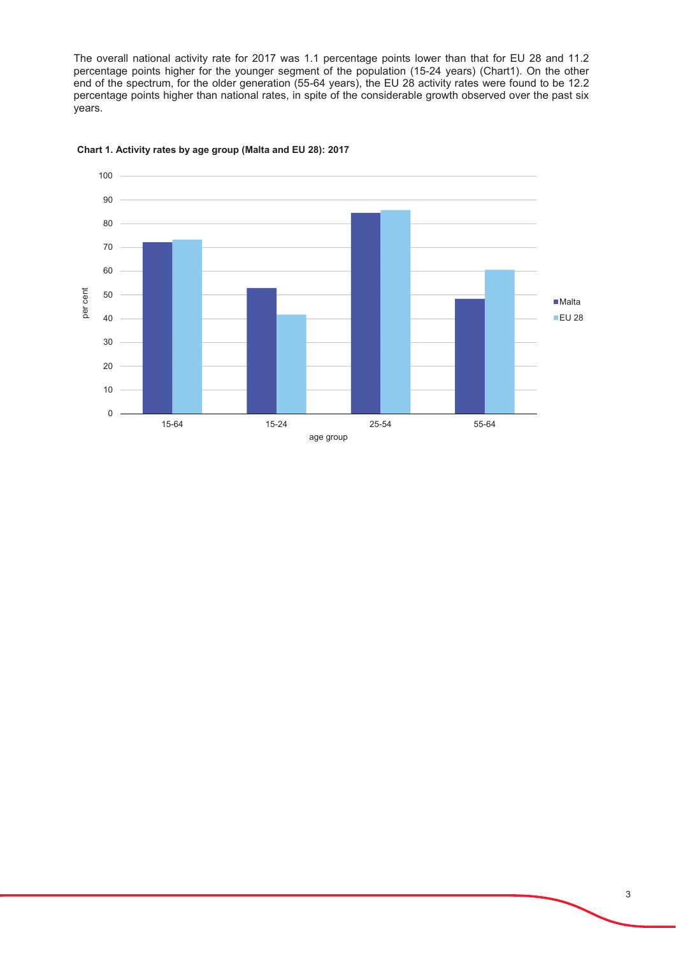The overall national activity rate for 2017 was 1.1 percentage points lower than that for EU 28 and 11.2 percentage points higher for the younger segment of the population (15-24 years) (Chart1). On the other end of the spectrum, for the older generation (55-64 years), the EU 28 activity rates were found to be 12.2 percentage points higher than national rates, in spite of the considerable growth observed over the past six vears.



#### Chart 1. Activity rates by age group (Malta and EU 28): 2017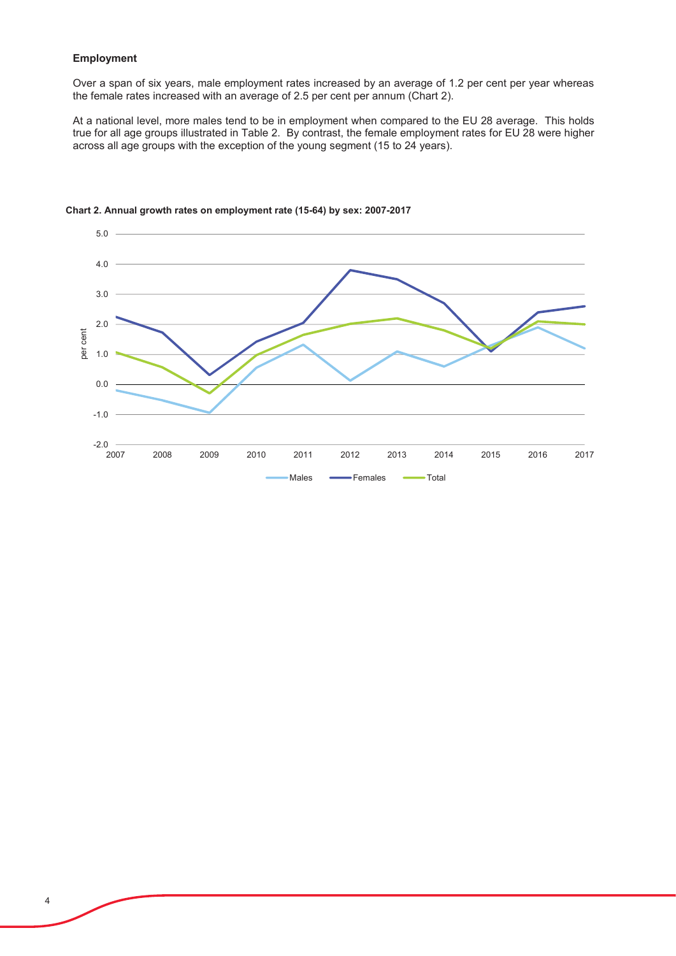## **Employment**

Over a span of six years, male employment rates increased by an average of 1.2 per cent per year whereas the female rates increased with an average of 2.5 per cent per annum (Chart 2).

At a national level, more males tend to be in employment when compared to the EU 28 average. This holds true for all age groups illustrated in Table 2. By contrast, the female employment rates for EU 28 were higher across all age groups with the exception of the young segment (15 to 24 years).



## Chart 2. Annual growth rates on employment rate (15-64) by sex: 2007-2017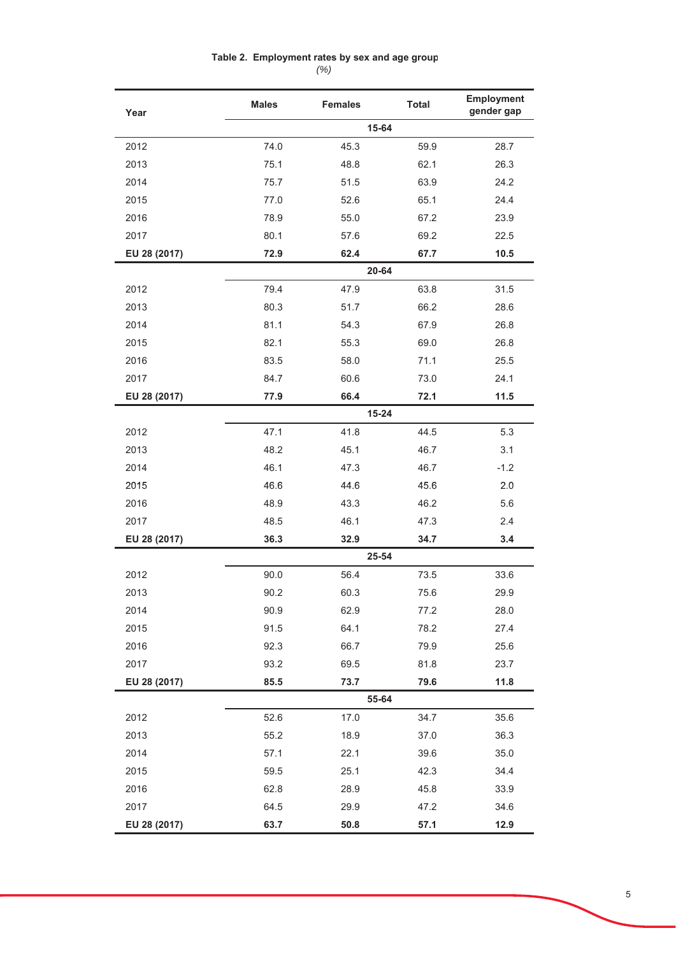## Table 2. Employment rates by sex and age group

 $(% )$ 

| Year         | <b>Males</b> | <b>Females</b> | <b>Total</b> | Employment<br>gender gap |
|--------------|--------------|----------------|--------------|--------------------------|
|              |              | 15-64          |              |                          |
| 2012         | 74.0         | 45.3           | 59.9         | 28.7                     |
| 2013         | 75.1         | 48.8           | 62.1         | 26.3                     |
| 2014         | 75.7         | 51.5           | 63.9         | 24.2                     |
| 2015         | 77.0         | 52.6           | 65.1         | 24.4                     |
| 2016         | 78.9         | 55.0           | 67.2         | 23.9                     |
| 2017         | 80.1         | 57.6           | 69.2         | 22.5                     |
| EU 28 (2017) | 72.9         | 62.4           | 67.7         | 10.5                     |
|              |              | $20 - 64$      |              |                          |
| 2012         | 79.4         | 47.9           | 63.8         | 31.5                     |
| 2013         | 80.3         | 51.7           | 66.2         | 28.6                     |
| 2014         | 81.1         | 54.3           | 67.9         | 26.8                     |
| 2015         | 82.1         | 55.3           | 69.0         | 26.8                     |
| 2016         | 83.5         | 58.0           | 71.1         | 25.5                     |
| 2017         | 84.7         | 60.6           | 73.0         | 24.1                     |
| EU 28 (2017) | 77.9         | 66.4           | 72.1         | 11.5                     |
|              |              | $15 - 24$      |              |                          |
| 2012         | 47.1         | 41.8           | 44.5         | 5.3                      |
| 2013         | 48.2         | 45.1           | 46.7         | 3.1                      |
| 2014         | 46.1         | 47.3           | 46.7         | $-1.2$                   |
| 2015         | 46.6         | 44.6           | 45.6         | 2.0                      |
| 2016         | 48.9         | 43.3           | 46.2         | 5.6                      |
| 2017         | 48.5         | 46.1           | 47.3         | 2.4                      |
| EU 28 (2017) | 36.3         | 32.9           | 34.7         | 3.4                      |
|              |              | 25-54          |              |                          |
| 2012         | 90.0         | 56.4           | 73.5         | 33.6                     |
| 2013         | 90.2         | 60.3           | 75.6         | 29.9                     |
| 2014         | 90.9         | 62.9           | 77.2         | 28.0                     |
| 2015         | 91.5         | 64.1           | 78.2         | 27.4                     |
| 2016         | 92.3         | 66.7           | 79.9         | 25.6                     |
| 2017         | 93.2         | 69.5           | 81.8         | 23.7                     |
| EU 28 (2017) | 85.5         | 73.7           | 79.6         | 11.8                     |
|              |              | 55-64          |              |                          |
| 2012         | 52.6         | 17.0           | 34.7         | 35.6                     |
| 2013         | 55.2         | 18.9           | 37.0         | 36.3                     |
| 2014         | 57.1         | 22.1           | 39.6         | 35.0                     |
| 2015         | 59.5         | 25.1           | 42.3         | 34.4                     |
| 2016         | 62.8         | 28.9           | 45.8         | 33.9                     |
| 2017         | 64.5         | 29.9           | 47.2         | 34.6                     |
| EU 28 (2017) | 63.7         | 50.8           | 57.1         | 12.9                     |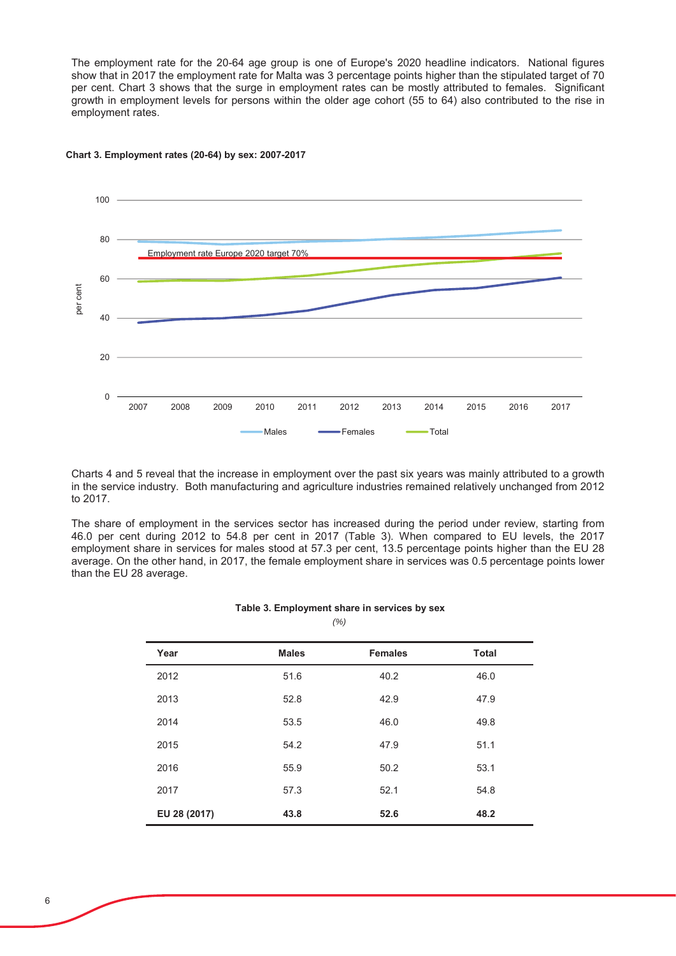The employment rate for the 20-64 age group is one of Europe's 2020 headline indicators. National figures show that in 2017 the employment rate for Malta was 3 percentage points higher than the stipulated target of 70 per cent. Chart 3 shows that the surge in employment rates can be mostly attributed to females. Significant growth in employment levels for persons within the older age cohort (55 to 64) also contributed to the rise in employment rates.



#### Chart 3. Employment rates (20-64) by sex: 2007-2017

Charts 4 and 5 reveal that the increase in employment over the past six years was mainly attributed to a growth in the service industry. Both manufacturing and agriculture industries remained relatively unchanged from 2012 to 2017.

The share of employment in the services sector has increased during the period under review, starting from 46.0 per cent during 2012 to 54.8 per cent in 2017 (Table 3). When compared to EU levels, the 2017 employment share in services for males stood at 57.3 per cent, 13.5 percentage points higher than the EU 28 average. On the other hand, in 2017, the female employment share in services was 0.5 percentage points lower than the EU 28 average.

#### Table 3. Employment share in services by sex

*(%)*

| Year         | <b>Males</b> | <b>Females</b> | <b>Total</b> |
|--------------|--------------|----------------|--------------|
| 2012         | 51.6         | 40.2           | 46.0         |
| 2013         | 52.8         | 42.9           | 47.9         |
| 2014         | 53.5         | 46.0           | 49.8         |
| 2015         | 54.2         | 47.9           | 51.1         |
| 2016         | 55.9         | 50.2           | 53.1         |
| 2017         | 57.3         | 52.1           | 54.8         |
| EU 28 (2017) | 43.8         | 52.6           | 48.2         |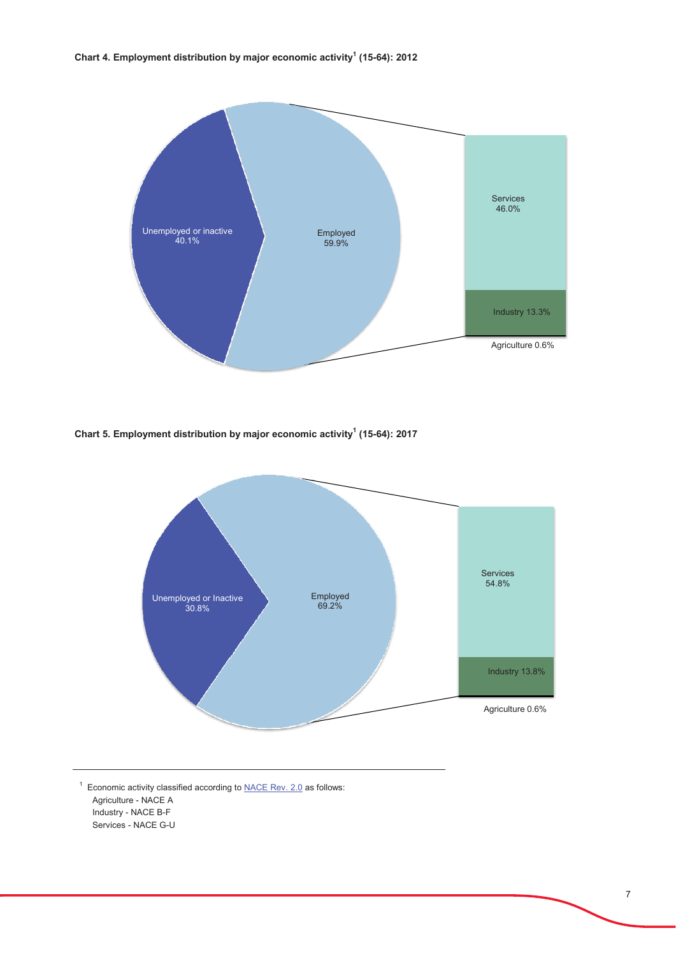

Chart 5. Employment distribution by major economic activity<sup>1</sup> (15-64): 2017



 $<sup>1</sup>$  Economic activity classified according to NACE Rev. 2.0 as follows:</sup> Agriculture - NACE A Industry - NACE B-F Services - NACE G-U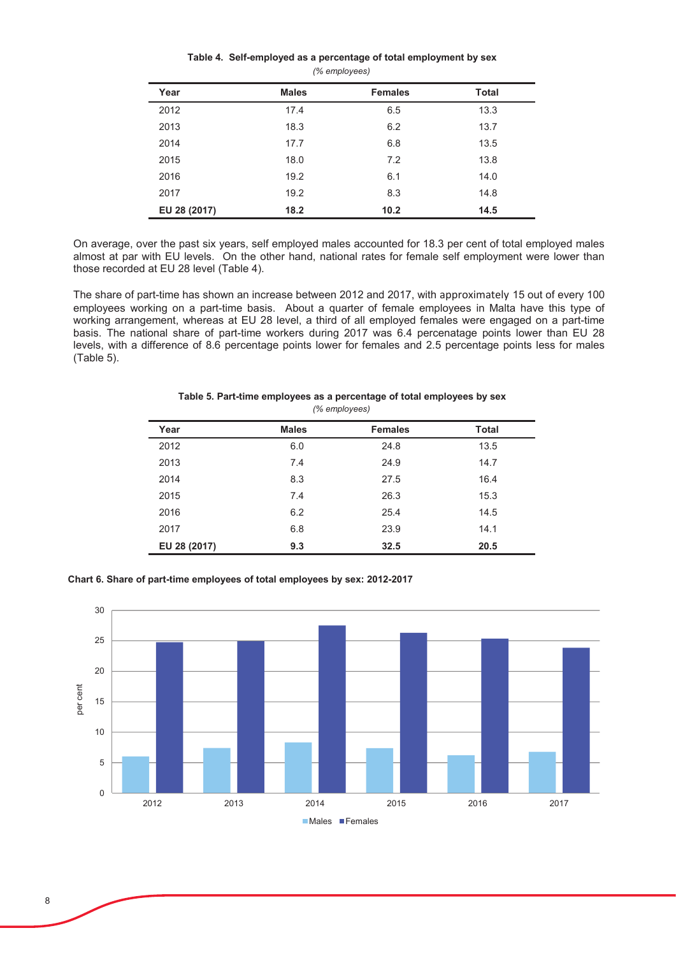| Table 4. Self-employed as a percentage of total employment by sex |
|-------------------------------------------------------------------|
| (% employees)                                                     |

| Year         | <b>Males</b> | <b>Females</b> | <b>Total</b> |
|--------------|--------------|----------------|--------------|
| 2012         | 17.4         | 6.5            | 13.3         |
| 2013         | 18.3         | 6.2            | 13.7         |
| 2014         | 17.7         | 6.8            | 13.5         |
| 2015         | 18.0         | 7.2            | 13.8         |
| 2016         | 19.2         | 6.1            | 14.0         |
| 2017         | 19.2         | 8.3            | 14.8         |
| EU 28 (2017) | 18.2         | 10.2           | 14.5         |

On average, over the past six years, self employed males accounted for 18.3 per cent of total employed males almost at par with EU levels. On the other hand, national rates for female self employment were lower than those recorded at EU 28 level (Table 4).

The share of part-time has shown an increase between 2012 and 2017, with approximately 15 out of every 100 employees working on a part-time basis. About a quarter of female employees in Malta have this type of working arrangement, whereas at EU 28 level, a third of all employed females were engaged on a part-time basis. The national share of part-time workers during 2017 was 6.4 percenatage points lower than EU 28 levels, with a difference of 8.6 percentage points lower for females and 2.5 percentage points less for males  $(Table 5)$ .

| Year         | <b>Males</b> | <b>Females</b> | <b>Total</b> |
|--------------|--------------|----------------|--------------|
| 2012         | 6.0          | 24.8           | 13.5         |
| 2013         | 7.4          | 24.9           | 14.7         |
| 2014         | 8.3          | 27.5           | 16.4         |
| 2015         | 7.4          | 26.3           | 15.3         |
| 2016         | 6.2          | 25.4           | 14.5         |
| 2017         | 6.8          | 23.9           | 14.1         |
| EU 28 (2017) | 9.3          | 32.5           | 20.5         |

#### *(% employees)* Table 5. Part-time employees as a percentage of total employees by sex

Chart 6. Share of part-time employees of total employees by sex: 2012-2017

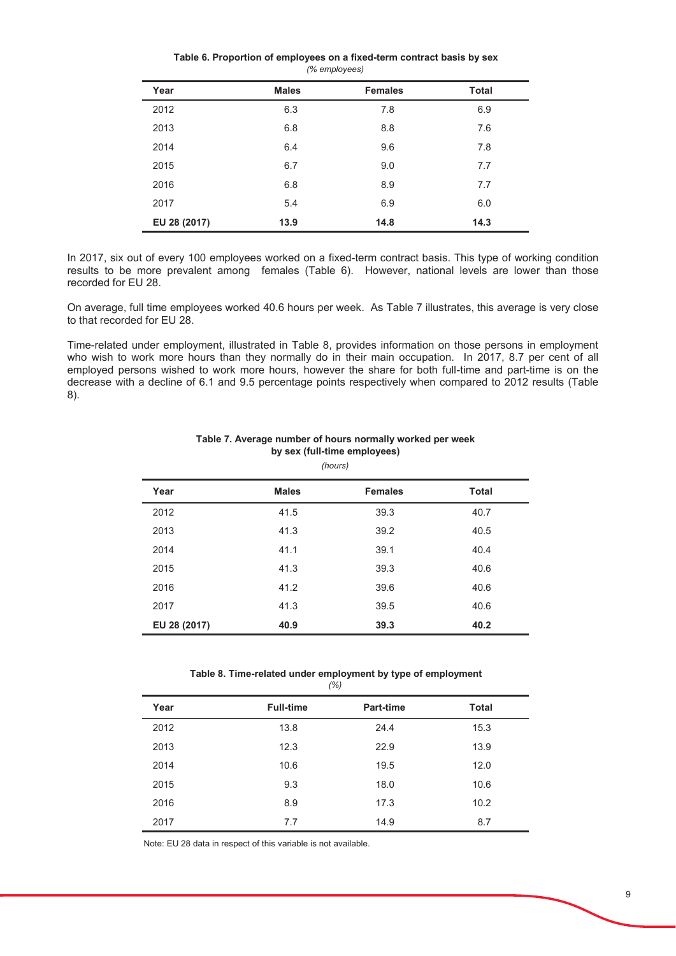#### *(% employees)* Table 6. Proportion of employees on a fixed-term contract basis by sex

| Year         | <b>Males</b> | <b>Females</b> | <b>Total</b> |
|--------------|--------------|----------------|--------------|
| 2012         | 6.3          | 7.8            | 6.9          |
| 2013         | 6.8          | 8.8            | 7.6          |
| 2014         | 6.4          | 9.6            | 7.8          |
| 2015         | 6.7          | 9.0            | 7.7          |
| 2016         | 6.8          | 8.9            | 7.7          |
| 2017         | 5.4          | 6.9            | 6.0          |
| EU 28 (2017) | 13.9         | 14.8           | 14.3         |

In 2017, six out of every 100 employees worked on a fixed-term contract basis. This type of working condition results to be more prevalent among females (Table 6). However, national levels are lower than those recorded for EU 28.

On average, full time employees worked 40.6 hours per week. As Table 7 illustrates, this average is very close to that recorded for EU 28.

Time-related under employment, illustrated in Table 8, provides information on those persons in employment who wish to work more hours than they normally do in their main occupation. In 2017, 8.7 per cent of all employed persons wished to work more hours, however the share for both full-time and part-time is on the decrease with a decline of 6.1 and 9.5 percentage points respectively when compared to 2012 results (Table  $8$ ).

|              |              | (110013)       |              |
|--------------|--------------|----------------|--------------|
| Year         | <b>Males</b> | <b>Females</b> | <b>Total</b> |
| 2012         | 41.5         | 39.3           | 40.7         |
| 2013         | 41.3         | 39.2           | 40.5         |
| 2014         | 41.1         | 39.1           | 40.4         |
| 2015         | 41.3         | 39.3           | 40.6         |
| 2016         | 41.2         | 39.6           | 40.6         |
| 2017         | 41.3         | 39.5           | 40.6         |
| EU 28 (2017) | 40.9         | 39.3           | 40.2         |
|              |              |                |              |

#### Table 7. Average number of hours normally worked per week by sex (full-time employees) *(hours)*

*(%)* Table 8. Time-related under employment by type of employment

|      | (70)             |           |              |
|------|------------------|-----------|--------------|
| Year | <b>Full-time</b> | Part-time | <b>Total</b> |
| 2012 | 13.8             | 24.4      | 15.3         |
| 2013 | 12.3             | 22.9      | 13.9         |
| 2014 | 10.6             | 19.5      | 12.0         |
| 2015 | 9.3              | 18.0      | 10.6         |
| 2016 | 8.9              | 17.3      | 10.2         |
| 2017 | 7.7              | 14.9      | 8.7          |

Note: EU 28 data in respect of this variable is not available.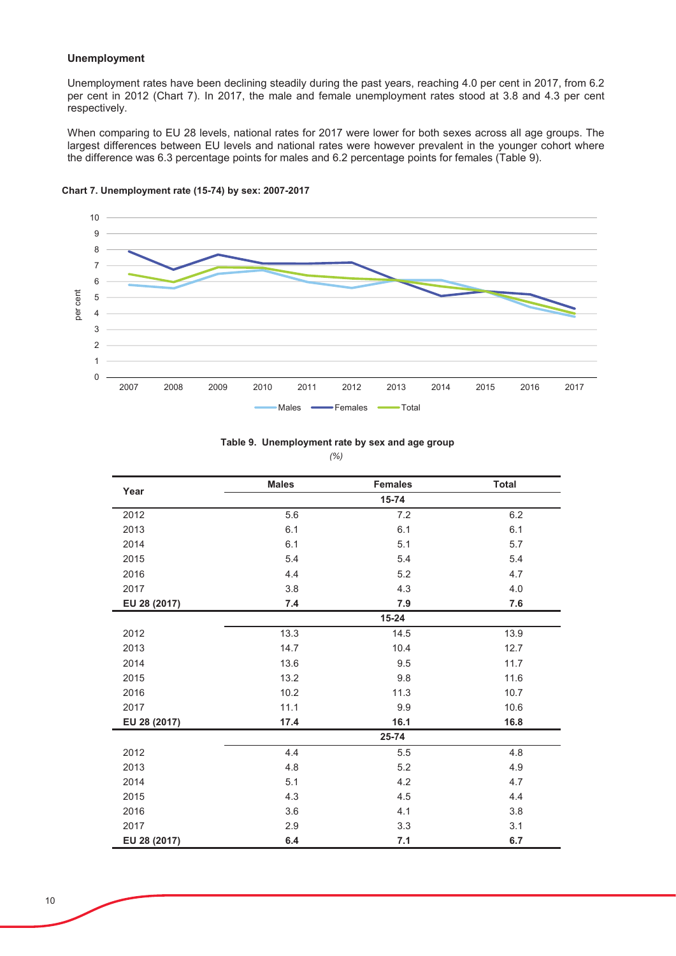## **Unemployment**

Unemployment rates have been declining steadily during the past years, reaching 4.0 per cent in 2017, from 6.2 per cent in 2012 (Chart 7). In 2017, the male and female unemployment rates stood at 3.8 and 4.3 per cent '<br>respectively.

When comparing to EU 28 levels, national rates for 2017 were lower for both sexes across all age groups. The  $\overline{\phantom{a}}$  largest differences between EU levels and national rates were however prevalent in the younger cohort where the difference was 6.3 percentage points for males and 6.2 percentage points for females (Table 9).



Chart 7. Unemployment rate (15-74) by sex: 2007-2017

|              | <b>Males</b> | <b>Females</b> | <b>Total</b> |
|--------------|--------------|----------------|--------------|
| Year         |              | 15-74          |              |
| 2012         | 5.6          | 7.2            | 6.2          |
| 2013         | 6.1          | 6.1            | 6.1          |
| 2014         | 6.1          | 5.1            | 5.7          |
| 2015         | 5.4          | 5.4            | 5.4          |
| 2016         | 4.4          | 5.2            | 4.7          |
| 2017         | 3.8          | 4.3            | 4.0          |
| EU 28 (2017) | 7.4          | 7.9            | 7.6          |
|              |              | $15 - 24$      |              |
| 2012         | 13.3         | 14.5           | 13.9         |
| 2013         | 14.7         | 10.4           | 12.7         |
| 2014         | 13.6         | 9.5            | 11.7         |
| 2015         | 13.2         | 9.8            | 11.6         |
| 2016         | 10.2         | 11.3           | 10.7         |
| 2017         | 11.1         | 9.9            | 10.6         |
| EU 28 (2017) | 17.4         | 16.1           | 16.8         |
|              |              | 25-74          |              |
| 2012         | 4.4          | 5.5            | 4.8          |
| 2013         | 4.8          | 5.2            | 4.9          |
| 2014         | 5.1          | 4.2            | 4.7          |
| 2015         | 4.3          | 4.5            | 4.4          |
| 2016         | 3.6          | 4.1            | 3.8          |
| 2017         | 2.9          | 3.3            | 3.1          |
| EU 28 (2017) | 6.4          | 7.1            | 6.7          |

Table 9. Unemployment rate by sex and age group

*(%)*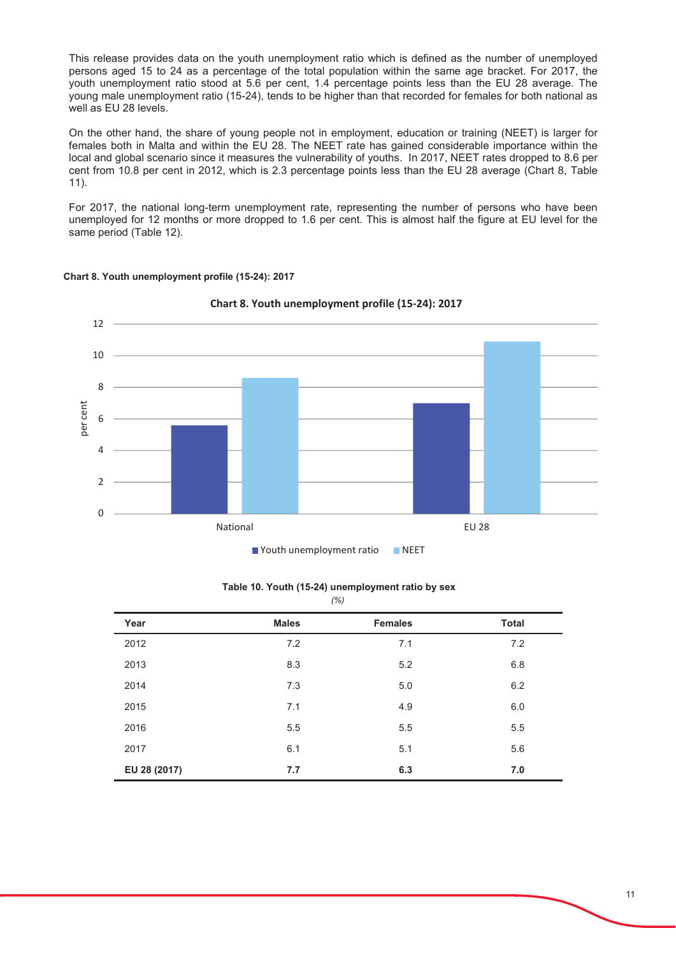This release provides data on the youth unemployment ratio which is defined as the number of unemployed persons aged 15 to 24 as a percentage of the total population within the same age bracket. For 2017, the vouth unemployment ratio stood at 5.6 per cent. 1.4 percentage points less than the EU 28 average. The young male unemployment ratio (15-24), tends to be higher than that recorded for females for both national as well as EU 28 levels.

On the other hand, the share of young people not in employment, education or training (NEET) is larger for females both in Malta and within the EU 28. The NEET rate has gained considerable importance within the local and global scenario since it measures the vulnerability of youths. In 2017, NEET rates dropped to 8.6 per cent from 10.8 per cent in 2012, which is 2.3 percentage points less than the EU 28 average (Chart 8. Table  $11$ ).

For 2017, the national long-term unemployment rate, representing the number of persons who have been unemployed for 12 months or more dropped to 1.6 per cent. This is almost half the figure at EU level for the same period (Table 12).



## Chart 8. Youth unemployment profile (15-24): 2017

■ Youth unemployment ratio ■ NEET

| Year         | <b>Males</b> | <b>Females</b> | <b>Total</b> |
|--------------|--------------|----------------|--------------|
| 2012         | 7.2          | 7.1            | 7.2          |
| 2013         | 8.3          | 5.2            | 6.8          |
| 2014         | 7.3          | 5.0            | 6.2          |
| 2015         | 7.1          | 4.9            | $6.0\,$      |
| 2016         | 5.5          | 5.5            | 5.5          |
| 2017         | 6.1          | 5.1            | 5.6          |
| EU 28 (2017) | 7.7          | 6.3            | 7.0          |

#### *(%)* Table 10, Youth (15-24) unemployment ratio by sex

11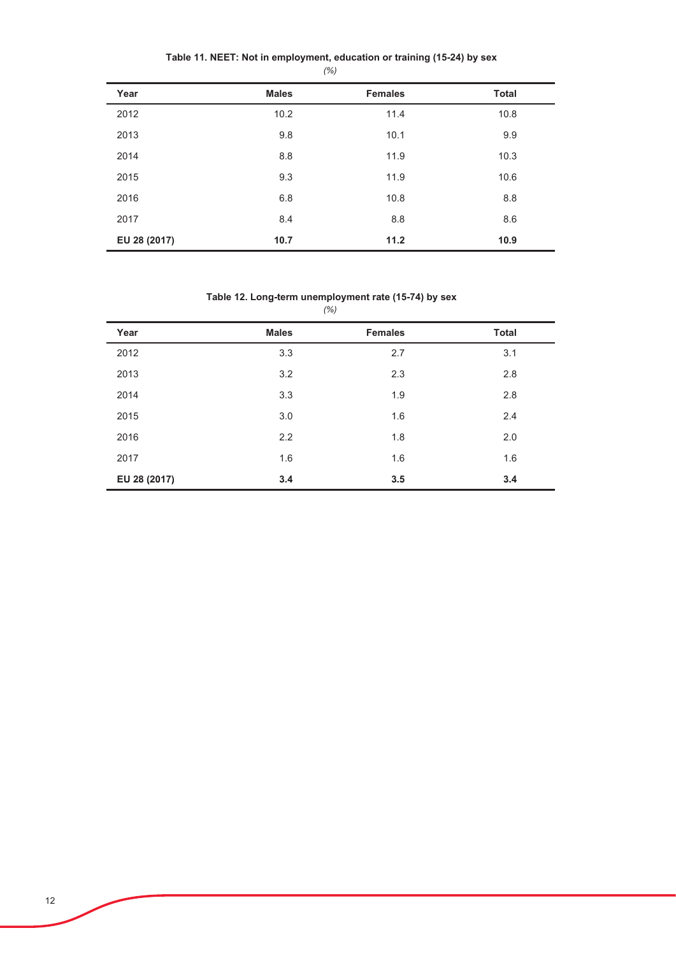|              |              | $\sqrt{2}$     |              |
|--------------|--------------|----------------|--------------|
| Year         | <b>Males</b> | <b>Females</b> | <b>Total</b> |
| 2012         | 10.2         | 11.4           | 10.8         |
| 2013         | 9.8          | 10.1           | 9.9          |
| 2014         | 8.8          | 11.9           | 10.3         |
| 2015         | 9.3          | 11.9           | 10.6         |
| 2016         | 6.8          | 10.8           | 8.8          |
| 2017         | 8.4          | 8.8            | 8.6          |
| EU 28 (2017) | 10.7         | 11.2           | 10.9         |

Table 11. NEET: Not in employment, education or training (15-24) by sex *(%)*

## Table 12. Long-term unemployment rate (15-74) by sex

|              |              | (%)            |              |
|--------------|--------------|----------------|--------------|
| Year         | <b>Males</b> | <b>Females</b> | <b>Total</b> |
| 2012         | 3.3          | 2.7            | 3.1          |
| 2013         | 3.2          | 2.3            | 2.8          |
| 2014         | 3.3          | 1.9            | 2.8          |
| 2015         | 3.0          | 1.6            | 2.4          |
| 2016         | 2.2          | 1.8            | 2.0          |
| 2017         | 1.6          | 1.6            | 1.6          |
| EU 28 (2017) | 3.4          | 3.5            | 3.4          |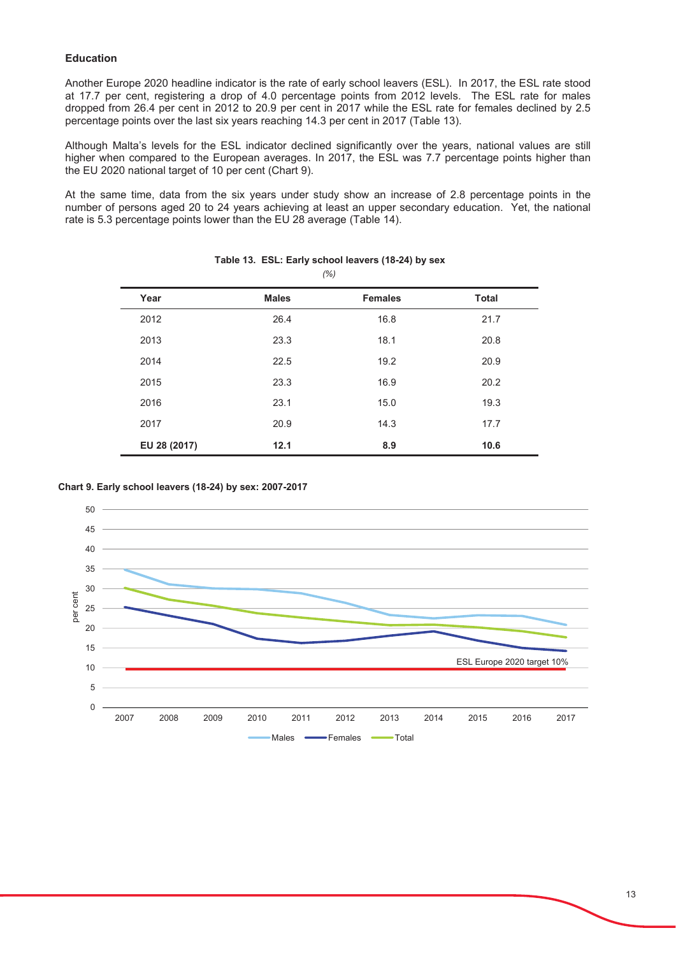## **Education**

Another Europe 2020 headline indicator is the rate of early school leavers (ESL). In 2017, the ESL rate stood at 17.7 per cent, registering a drop of 4.0 percentage points from 2012 levels. The ESL rate for males dropped from 26.4 per cent in 2012 to 20.9 per cent in 2017 while the ESL rate for females declined by 2.5 percentage points over the last six years reaching 14.3 per cent in 2017 (Table 13).

Although Malta's levels for the ESL indicator declined significantly over the years, national values are still higher when compared to the European averages. In 2017, the ESL was 7.7 percentage points higher than the EU 2020 national target of 10 per cent (Chart 9).

At the same time, data from the six years under study show an increase of 2.8 percentage points in the number of persons aged 20 to 24 years achieving at least an upper secondary education. Yet, the national rate is 5.3 percentage points lower than the EU 28 average (Table 14).

| Year         | <b>Males</b> | <b>Females</b> | <b>Total</b> |
|--------------|--------------|----------------|--------------|
| 2012         | 26.4         | 16.8           | 21.7         |
| 2013         | 23.3         | 18.1           | 20.8         |
| 2014         | 22.5         | 19.2           | 20.9         |
| 2015         | 23.3         | 16.9           | 20.2         |
| 2016         | 23.1         | 15.0           | 19.3         |
| 2017         | 20.9         | 14.3           | 17.7         |
| EU 28 (2017) | 12.1         | 8.9            | 10.6         |

#### Table 13. ESL: Early school leavers (18-24) by sex  $(%)$

## Chart 9. Early school leavers (18-24) by sex: 2007-2017

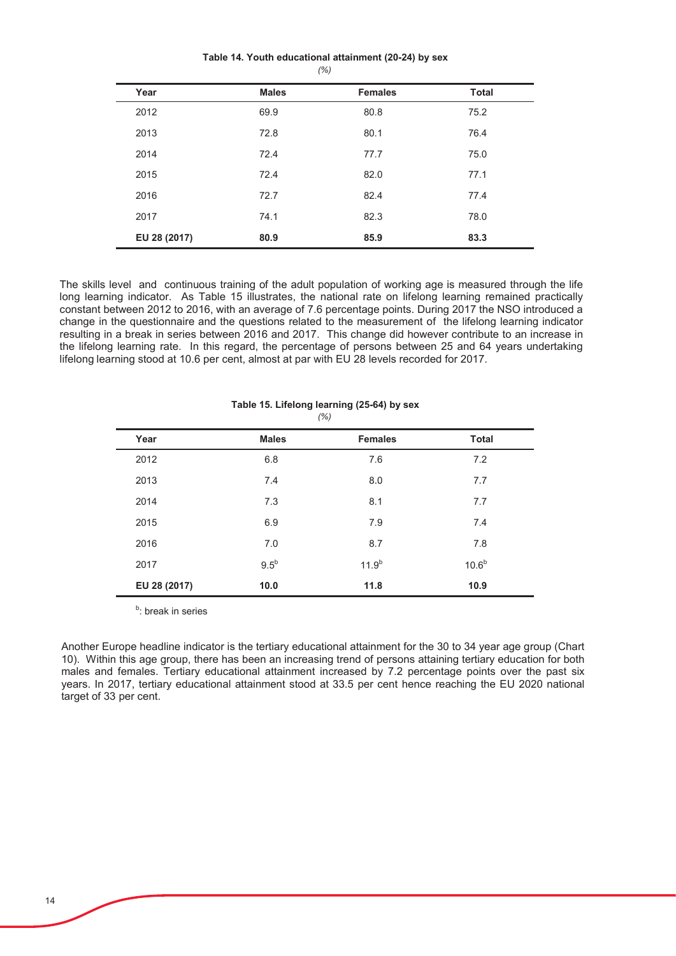#### Table 14. Youth educational attainment (20-24) by sex  $(% )$

| Year         | <b>Males</b> | <b>Females</b> | <b>Total</b> |
|--------------|--------------|----------------|--------------|
| 2012         | 69.9         | 80.8           | 75.2         |
| 2013         | 72.8         | 80.1           | 76.4         |
| 2014         | 72.4         | 77.7           | 75.0         |
| 2015         | 72.4         | 82.0           | 77.1         |
| 2016         | 72.7         | 82.4           | 77.4         |
| 2017         | 74.1         | 82.3           | 78.0         |
| EU 28 (2017) | 80.9         | 85.9           | 83.3         |

The skills level and continuous training of the adult population of working age is measured through the life long learning indicator. As Table 15 illustrates, the national rate on lifelong learning remained practically constant between 2012 to 2016, with an average of 7.6 percentage points. During 2017 the NSO introduced a change in the questionnaire and the questions related to the measurement of the lifelong learning indicator resulting in a break in series between 2016 and 2017. This change did however contribute to an increase in the lifelong learning rate. In this regard, the percentage of persons between 25 and 64 years undertaking lifelong learning stood at 10.6 per cent, almost at par with EU 28 levels recorded for 2017.

| Year         | <b>Males</b> | <b>Females</b> | <b>Total</b>      |
|--------------|--------------|----------------|-------------------|
| 2012         | 6.8          | 7.6            | 7.2               |
| 2013         | 7.4          | 8.0            | 7.7               |
| 2014         | 7.3          | 8.1            | 7.7               |
| 2015         | 6.9          | 7.9            | 7.4               |
| 2016         | 7.0          | 8.7            | 7.8               |
| 2017         | $9.5^b$      | $11.9^{b}$     | 10.6 <sup>b</sup> |
| EU 28 (2017) | 10.0         | 11.8           | 10.9              |

#### Table 15. Lifelong learning (25-64) by sex  $(% )$

<sup>b</sup>: break in series

Another Europe headline indicator is the tertiary educational attainment for the 30 to 34 year age group (Chart 10). Within this age group, there has been an increasing trend of persons attaining tertiary education for both males and females. Tertiary educational attainment increased by 7.2 percentage points over the past six years. In 2017, tertiary educational attainment stood at 33.5 per cent hence reaching the EU 2020 national target of 33 per cent.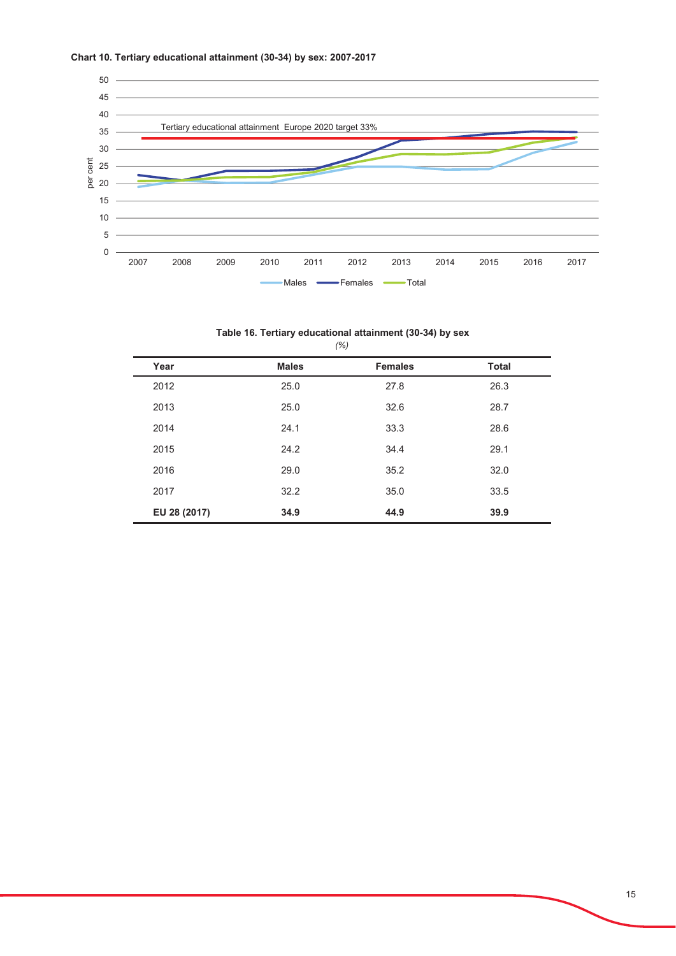



## Table 16. Tertiary educational attainment (30-34) by sex

|              |              | (% )           |              |
|--------------|--------------|----------------|--------------|
| Year         | <b>Males</b> | <b>Females</b> | <b>Total</b> |
| 2012         | 25.0         | 27.8           | 26.3         |
| 2013         | 25.0         | 32.6           | 28.7         |
| 2014         | 24.1         | 33.3           | 28.6         |
| 2015         | 24.2         | 34.4           | 29.1         |
| 2016         | 29.0         | 35.2           | 32.0         |
| 2017         | 32.2         | 35.0           | 33.5         |
| EU 28 (2017) | 34.9         | 44.9           | 39.9         |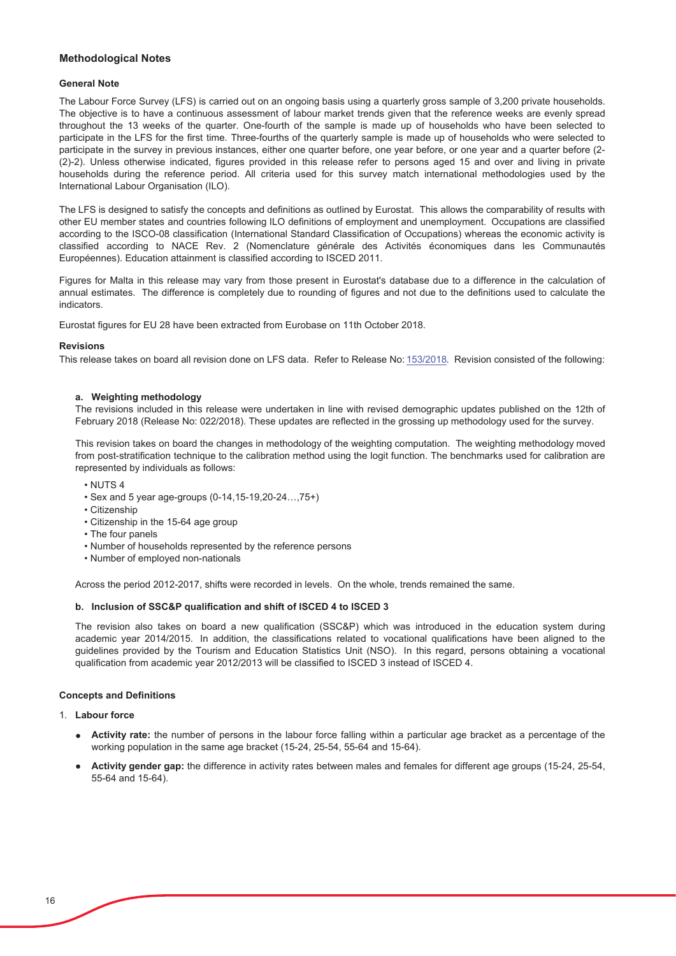#### **Methodological Notes**

#### **General Note**

The Labour Force Survey (LFS) is carried out on an ongoing basis using a quarterly gross sample of 3,200 private households. The objective is to have a continuous assessment of labour market trends given that the reference weeks are evenly spread throughout the 13 weeks of the quarter. One-fourth of the sample is made up of households who have been selected to participate in the LFS for the first time. Three-fourths of the quarterly sample is made up of households who were selected to participate in the survey in previous instances, either one quarter before, one year before, or one year and a quarter before (2-(2)-2). Unless otherwise indicated, figures provided in this release refer to persons aged 15 and over and living in private households during the reference period. All criteria used for this survey match international methodologies used by the International Labour Organisation (ILO).

The LFS is designed to satisfy the concepts and definitions as outlined by Eurostat. This allows the comparability of results with other EU member states and countries following ILO definitions of employment and unemployment. Occupations are classified according to the ISCO-08 classification (International Standard Classification of Occupations) whereas the economic activity is classified according to NACE Rev. 2 (Nomenclature générale des Activités économiques dans les Communautés Européennes). Education attainment is classified according to ISCED 2011.

Figures for Malta in this release may vary from those present in Eurostat's database due to a difference in the calculation of annual estimates. The difference is completely due to rounding of figures and not due to the definitions used to calculate the indicators.

Eurostat figures for EU 28 have been extracted from Eurobase on 11th October 2018.

#### **Povisions**

This release takes on board all revision done on LFS data. Refer to Release No: 153/2018. Revision consisted of the following:

#### a. Weighting methodology

The revisions included in this release were undertaken in line with revised demographic updates published on the 12th of February 2018 (Release No: 022/2018). These updates are reflected in the grossing up methodology used for the survey.

This revision takes on board the changes in methodology of the weighting computation. The weighting methodology moved from post-stratification technique to the calibration method using the logit function. The benchmarks used for calibration are represented by individuals as follows:

- $\cdot$  NUTS 4
- Sex and 5 year age-groups (0-14.15-19.20-24....75+)
- Citizenship
- Citizenship in the 15-64 age group
- The four panels
- Number of households represented by the reference persons
- Number of employed non-nationals

Across the period 2012-2017, shifts were recorded in levels. On the whole, trends remained the same.

#### b. Inclusion of SSC&P qualification and shift of ISCED 4 to ISCED 3

The revision also takes on board a new qualification (SSC&P) which was introduced in the education system during academic year 2014/2015. In addition, the classifications related to vocational qualifications have been aligned to the quidelines provided by the Tourism and Education Statistics Unit (NSO). In this regard, persons obtaining a vocational qualification from academic year 2012/2013 will be classified to ISCED 3 instead of ISCED 4.

#### **Concepts and Definitions**

#### $1$  Labour force

- Activity rate: the number of persons in the labour force falling within a particular age bracket as a percentage of the working population in the same age bracket (15-24, 25-54, 55-64 and 15-64).
- Activity gender gap: the difference in activity rates between males and females for different age groups (15-24, 25-54, 55-64 and 15-64).